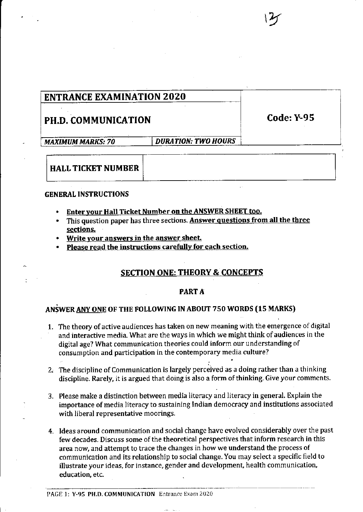# PH.D. COMMUNICATION Code: Y-95

 $\widetilde{z}$ 

MAXIMUM MARKS: 70 | DURATION: TWO HOURS

# HALL TICKET NUMBER

## GENERAL INSTRUCTIONS

- Enter your Hall Ticket Number on the ANSWER SHEET too.
- This question paper has three sections. Answer questions from all the three sections.
- Write your answers in the answer sheet.
- Please read the instructions carefullv for each section.

# SECTION ONE: THEORY & CONCEPTS

# PART A

# ANSWER ANY ONE OF THE FOLLOWING IN ABOUT 750 WORDS (15 MARKS)

- The theory of active audiences has taken on new meaning with the emergence of digital 1. and interactive media. What are the ways in which we might think of audiences in the digital age? What communication theories could inform our understanding of consumption and participation in the contemporary media culture?
- l' 2.  $\,$  The discipline of Communication is largely perceived as a doing rather than a thinking discipline. Rarely, it is argued that doing is also a form of thinking. Give your comments.
- 3. Please make a distinction between media literacy and literacy in general. Explain the importance of media literacy to sustaining !ndian democracy and institutions associated with liberal representative moorings.
- 4. Ideas around communication and social change have evolved considerably over the past few decades. Discuss some of the theoretical perspectives that inform research in this area now, and attempt to trace the changes in how we understand the process of communication and its relationship to social change. You may select a specific field to illustrate your ideas, for instance, gender and development, health communication, education, etc.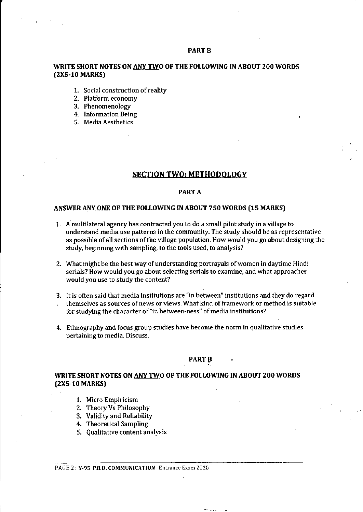#### PART B

### WRITE SHORT NOTES ON ANY TWO OF THE FOLLOWING IN ABOUT 200 WORDS (2X5-10 MARKS)

- 1. Social construction of reality
- 2. Platform economy
- 3. Phenomenology
- 4. Information Being
- 5. Media Aesthetics

#### SECTION TWO: METHODOLOGY

#### PART A

#### ANSWERANY ONE OF THE FOLLOWING IN ABOUT 750 WORDS (15 MARKS)

- 1. A multilateral agency has contracted you to do a smal! pilot study in a village to understand media use patterns in the community. The study should be as representative as possible of all sections of the village population. How would you go about designing the study, beginning with sampling, to the tools used, to analysis?
- 2. What might be the best way of understanding portrayals of women in daytime Hindi serials? How would you go about selecting serials to examine, and what approaches would you use to study the content?
- 3, It is often said that media institutions are 'in between" institutions and they do regard themselves as sources of news or views. What kind of framework or method is suitable for studying the character of "in between-ness" of media institutions?
- 4. Ethnography and focus group studies have become the norm in qualitative studies pertaining to media. Discuss.

#### PART<sub>B</sub>

## WRITE SHORT NOTES ON ANY TWO OF THE FOLLOWING IN ABOUT 200 WORDS (2X5-10 MARKS)

- 1. Micro Empiricism
- 2. Theory Vs Philosophy
- 3. Validity and Reliability
- 4. Theoretical Sampling
- 5. Qualitative content analysis